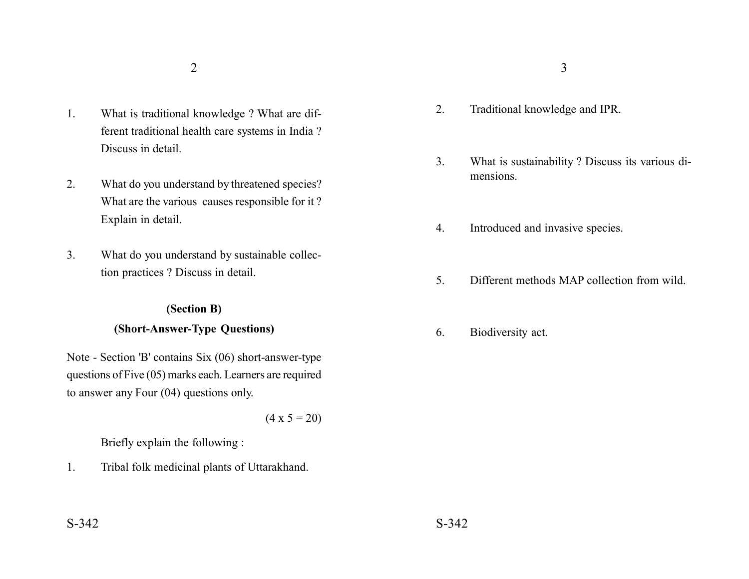- 1. What is traditional knowledge ? What are different traditional health care systems in India ? Discuss in detail.
- 2. What do you understand by threatened species? What are the various causes responsible for it ? Explain in detail.
- 3. What do you understand by sustainable collection practices ? Discuss in detail.

#### **(Section B)**

### **(Short-Answer-Type Questions)**

Note - Section 'B' contains Six (06) short-answer-type questions of Five (05) marks each. Learners are required to answer any Four (04) questions only.

 $(4 \times 5 = 20)$ 

Briefly explain the following :

1. Tribal folk medicinal plants of Uttarakhand.

- 2. Traditional knowledge and IPR.
- 3. What is sustainability ? Discuss its various dimensions.
- 4. Introduced and invasive species.
- 5. Different methods MAP collection from wild.
- 6. Biodiversity act.